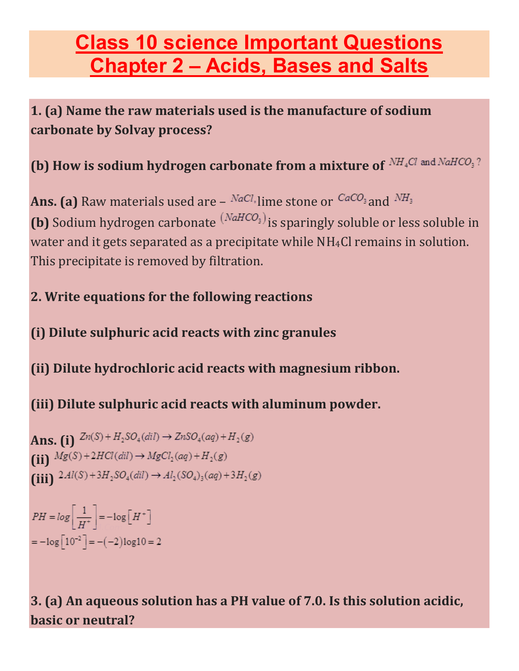# **Class 10 science Important Questions Chapter 2 – Acids, Bases and Salts**

**1. (a) Name the raw materials used is the manufacture of sodium carbonate by Solvay process?**

(b) How is sodium hydrogen carbonate from a mixture of NH<sub>4</sub>Cl and NaHCO<sub>3</sub>?

**Ans. (a)** Raw materials used are –  $^{NaCl}$  lime stone or  $^{CaCO_3}$  and  $^{NH_3}$ **(b)** Sodium hydrogen carbonate  $(NaHCO<sub>3</sub>)$  is sparingly soluble or less soluble in water and it gets separated as a precipitate while NH<sub>4</sub>Cl remains in solution. This precipitate is removed by filtration.

#### **2. Write equations for the following reactions**

**(i) Dilute sulphuric acid reacts with zinc granules**

**(ii) Dilute hydrochloric acid reacts with magnesium ribbon.**

**(iii) Dilute sulphuric acid reacts with aluminum powder.**

**Ans.** (i)  $Zn(S) + H_2SO_4(dil) \rightarrow ZnSO_4(aq) + H_2(g)$ (ii)  $Mg(S) + 2HCl(dil) \rightarrow MgCl<sub>2</sub>(aq) + H<sub>2</sub>(g)$ (iii)  $2Al(S) + 3H_2SO_4(dil) \rightarrow Al_2(SO_4)_3(aq) + 3H_2(g)$ 

 $PH = log \left[ \frac{1}{H^+} \right] = -log \left[ H^+ \right]$  $=-\log\left[10^{-2}\right] = -(-2)\log 10 = 2$ 

**3. (a) An aqueous solution has a PH value of 7.0. Is this solution acidic, basic or neutral?**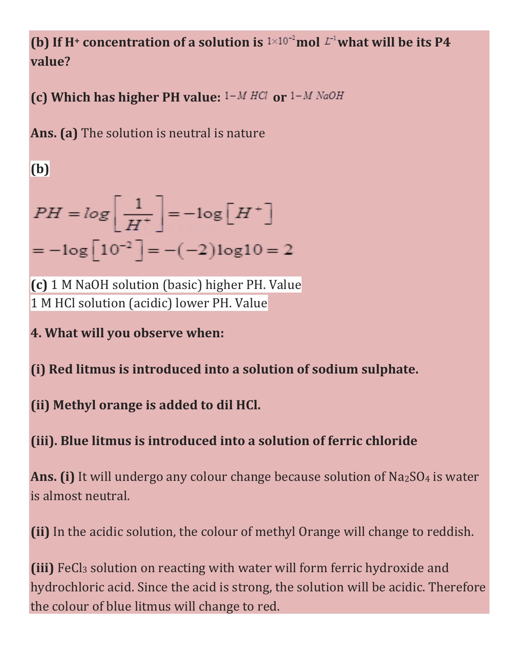## **(b)** If H<sup> $+$ </sup> concentration of a solution is  $1 \times 10^{-2}$  mol  $L^{-1}$  what will be its P4 **value?**

**(c) Which has higher PH value:**  $1 - M HCl$  or  $1 - M NaOH$ 

**Ans. (a)** The solution is neutral is nature

**(b)**

$$
PH = \log\left[\frac{1}{H^+}\right] = -\log\left[H^+\right]
$$

$$
= -\log\left[10^{-2}\right] = -(-2)\log 10 = 2
$$

**(c)** 1 M NaOH solution (basic) higher PH. Value 1 M HCl solution (acidic) lower PH. Value

**4. What will you observe when:**

#### **(i) Red litmus is introduced into a solution of sodium sulphate.**

**(ii) Methyl orange is added to dil HCl.**

## **(iii). Blue litmus is introduced into a solution of ferric chloride**

Ans. (i) It will undergo any colour change because solution of Na<sub>2</sub>SO<sub>4</sub> is water is almost neutral.

**(ii)** In the acidic solution, the colour of methyl Orange will change to reddish.

**(iii)** FeCl<sub>3</sub> solution on reacting with water will form ferric hydroxide and hydrochloric acid. Since the acid is strong, the solution will be acidic. Therefore the colour of blue litmus will change to red.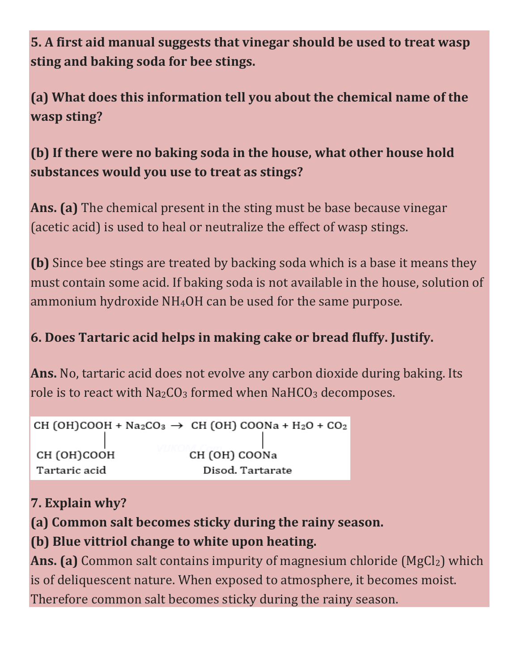**5. A first aid manual suggests that vinegar should be used to treat wasp sting and baking soda for bee stings.**

**(a) What does this information tell you about the chemical name of the wasp sting?**

### **(b) If there were no baking soda in the house, what other house hold substances would you use to treat as stings?**

**Ans. (a)** The chemical present in the sting must be base because vinegar (acetic acid) is used to heal or neutralize the effect of wasp stings.

**(b)** Since bee stings are treated by backing soda which is a base it means they must contain some acid. If baking soda is not available in the house, solution of ammonium hydroxide NH4OH can be used for the same purpose.

#### **6. Does Tartaric acid helps in making cake or bread fluffy. Justify.**

**Ans.** No, tartaric acid does not evolve any carbon dioxide during baking. Its role is to react with  $Na<sub>2</sub>CO<sub>3</sub>$  formed when NaHCO<sub>3</sub> decomposes.

```
CH (OH)COOH + Na<sub>2</sub>CO<sub>3</sub> \rightarrow CH (OH) COONa + H<sub>2</sub>O + CO<sub>2</sub>
CH (OH)COOH
                                      CH (OH) COONa
Tartaric acid
                                         Disod. Tartarate
```
#### **7. Explain why?**

**(a) Common salt becomes sticky during the rainy season. (b) Blue vittriol change to white upon heating.**

**Ans. (a)** Common salt contains impurity of magnesium chloride (MgCl<sub>2</sub>) which is of deliquescent nature. When exposed to atmosphere, it becomes moist. Therefore common salt becomes sticky during the rainy season.